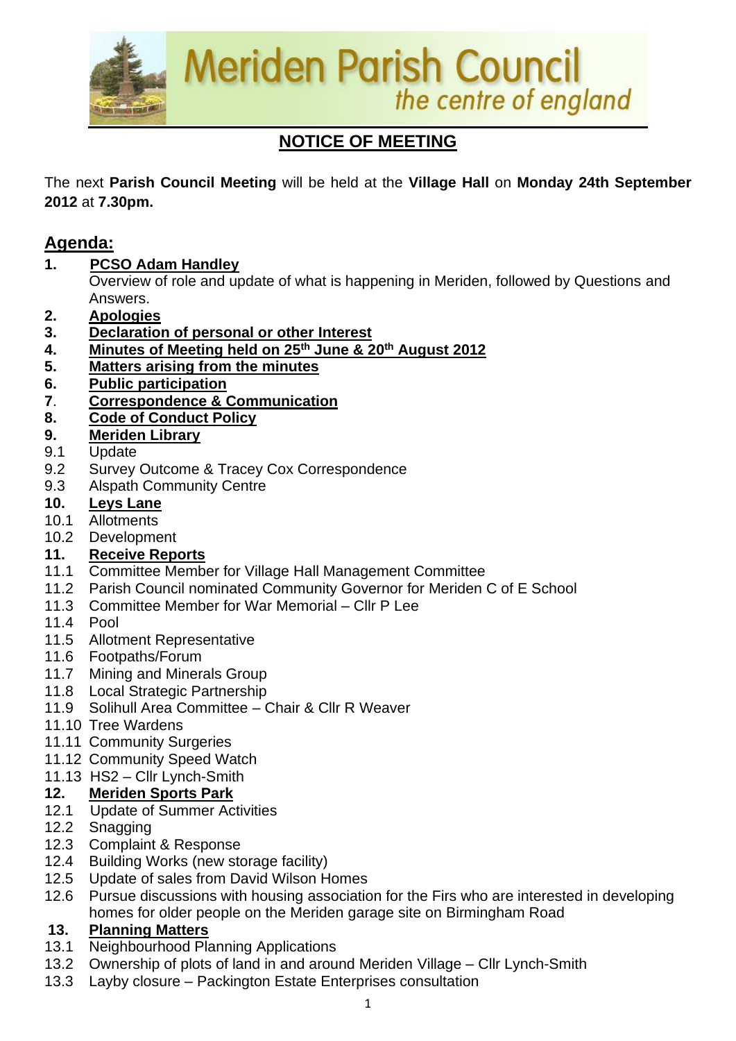

# **NOTICE OF MEETING**

The next **Parish Council Meeting** will be held at the **Village Hall** on **Monday 24th September 2012** at **7.30pm.**

## **Agenda:**

**1. PCSO Adam Handley**

Overview of role and update of what is happening in Meriden, followed by Questions and Answers.

- **2. Apologies**
- **3. Declaration of personal or other Interest**
- **4. Minutes of Meeting held on 25th June & 20 th August 2012**
- **5. Matters arising from the minutes**
- **6. Public participation**
- **7**. **Correspondence & Communication**
- **8. Code of Conduct Policy**
- **9. Meriden Library**
- 9.1 Update
- 9.2 Survey Outcome & Tracey Cox Correspondence
- 9.3 Alspath Community Centre

#### **10. Leys Lane**

- 10.1 Allotments
- 10.2 Development

### **11. Receive Reports**

- 11.1 Committee Member for Village Hall Management Committee
- 11.2 Parish Council nominated Community Governor for Meriden C of E School
- 11.3 Committee Member for War Memorial Cllr P Lee
- 11.4 Pool
- 11.5 Allotment Representative
- 11.6 Footpaths/Forum
- 11.7 Mining and Minerals Group
- 11.8 Local Strategic Partnership
- 11.9 Solihull Area Committee Chair & Cllr R Weaver
- 11.10 Tree Wardens
- 11.11 Community Surgeries
- 11.12 Community Speed Watch
- 11.13 HS2 Cllr Lynch-Smith

### **12. Meriden Sports Park**

- 12.1 Update of Summer Activities
- 12.2 Snagging
- 12.3 Complaint & Response
- 12.4 Building Works (new storage facility)
- 12.5 Update of sales from David Wilson Homes
- 12.6 Pursue discussions with housing association for the Firs who are interested in developing homes for older people on the Meriden garage site on Birmingham Road

### **13. Planning Matters**

- 13.1 Neighbourhood Planning Applications
- 13.2 Ownership of plots of land in and around Meriden Village Cllr Lynch-Smith
- 13.3 Layby closure Packington Estate Enterprises consultation